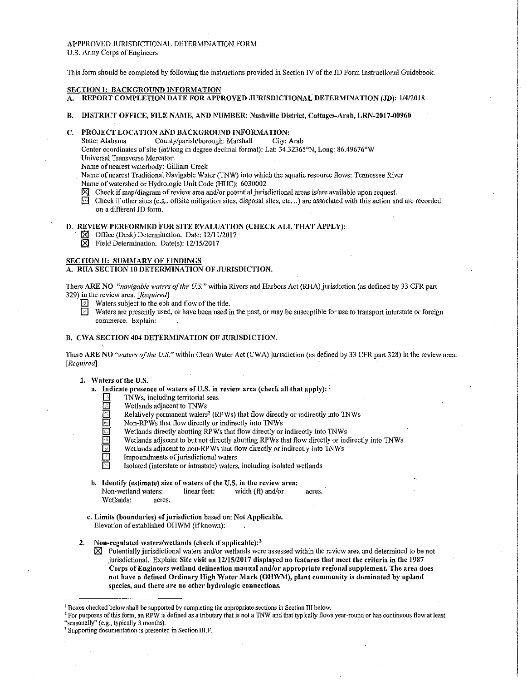# APPPROVED JURJSDICTIONAL DETERMINATION FORM

U.S. Army Corps of Engineers

This form should be completed by following the instructions provided in Section IV of the JD Form Instructional Guidebook.

### SECTION I: BACKGROUND INFORMATION

- A. REPORT COMPLETION DATE FOR APPROVED JURISDICTIONAL DETERMINATION (JD): 1/4/2018
- B. DISTRICT OFFICE, FILE NAME, AND NUMBER: Nashville District, Cottages-Arab, LRN-2017-00960

# C. PROJECT LOCATION AND BACKGROUND INFORMATION:<br>State: Alabama County/parish/borough: Marshall City: Arab

County/parish/borough: Marshall

Center coordinates of site (lat/long in degree decimal format): Lat: 34.32365°N, Long: 86.49676°W Universal Transverse Mercator:

Name of nearest waterbody: Gilliam Creek

Name of nearest Traditional Navigable Water (TNW) into which the aquatic resource flows: Tennessee River Name of watershed or Hydrologic Unit Code (HUC): 6030002

 $\boxtimes$  Check if map/diagram of review area and/or potential jurisdictional areas is/are available upon request.<br>Check if other sites (e.g., offsite mitigation sites, disposal sites, etc., ) are associated with this action Check if other sites (e.g., offsite mitigation sites, disposal sites, etc...) are associated with this action and are recorded on a different JD form,

## D. REVIEW PERFORMED FOR SITE EVALUATION (CHECK ALL THAT APPLY):

- $\boxtimes$  Office (Desk) Determination. Date: 12/11/2017<br>  $\boxtimes$  Field Determination. Date(s): 12/15/2017
- Field Determination. Date(s): 12/15/2017

## SECTION II: SUMMARY OF FINDINGS

A. RHA SECTION 10 DETERMINATION OF JURISDICTION.

There ARE NO *"navigable waters of the US."* within Rivers and Harbors Act (RHA) jurisdiction (as defined by 33 CFR part 329) in the revie\v area. *[Required]* 

- Waters subject to the ebb and flow of the tide.<br>
Waters are presently used, or have been used if
	- Waters are presently used, or have been used in the past, or may be susceptible for use to transport interstate or foreign commerce. Explain:

## B. CWA SECTION 404 DETERMINATION OF JURISDICTION.

There ARE NO "waters of the U.S." within Clean Water Act (CWA) jurisdiction (as defined by 33 CFR part 328) in the review area. *[Required]* 

#### 1. \Vaters of the U.S.

- a. Indicate presence of waters of U.S. in review area (check all that apply):  $<sup>1</sup>$ </sup>
	- TNWs, including territorial seas
	- Wetlands adjacent to TNWs
	- Relatively permanent waters<sup>2</sup> (RPWs) that flow directly or indirectly into TNWs
	- Non-RPWs that flow directly or indirectly into TNWs
		- Wetlands directly abutting RPWs that flow directly or indirectly into TNWs
	- Wetlands adjacent to but not directly abutting RPWs that flow directly or indirectly into TNWs
	- Wetlands adjacent to non-RPWs that flow directly or indirectly into TNWs
	- Impoundments of jurisdictional waters
	- Isolated (interstate or intrastate) waters, including isolated wetlands
- b. Identify (estimate) size of waters of the U.S. in the review area:<br>Non-wetland waters: linear feet: width (ft) and/or Non-wetland waters: linear feet: width (ft) and/or acres. Wetlands: acres.
- c. Limits (boundaries) of jurisdiction based on: Not Applicable. Elevation of established OHWM (if known):
- 2. Non-regulated waters/wetlands (check if applicable): $<sup>3</sup>$ </sup>
	- $\boxtimes$  Potentially jurisdictional waters and/or wetlands were assessed within the review area and determined to be not jurisdictional. Explain: Site visit on 12/15/2017 displayed no features that meet the criteria in the 1987 Corps of Engineers wetland delineation manual and/or appropriate regional supplement. The area does not have a defined Ordinary High Water Mark (OHWM), plant community is dominated by upland species, and there are no other hydrologic connections.

<sup>&</sup>lt;sup>1</sup> Boxes checked below shall be supported by completing the appropriate sections in Section III below.<br><sup>2</sup> For purposes of this form, an RPW is defined as a tributary that is not a TNW and that typically flows year-round

<sup>&</sup>lt;sup>3</sup> Supporting documentation is presented in Section III.F.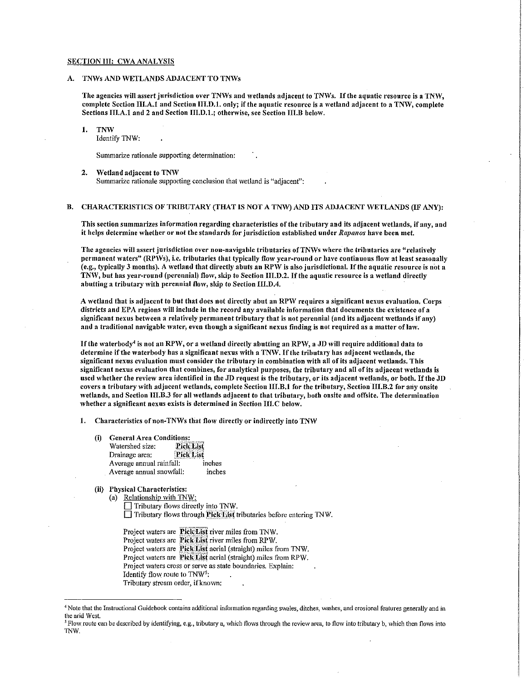## SECTION III: CWA ANALYSIS

## A. TNWs AND WETLANDS ADJACENT TO TNWs

The agencies will assert jurisdiction over TNWs and wetlands adjacent to TNWs. If the aquatic resource is a TNW, complete Section III.A.1 and Section III.D.1. only; if the aquatic resource is a wetland adjacent to a TNW, complete Sections  $\Pi$ , A.1 and 2 and Section  $\Pi$ , D.1.; otherwise, see Section III.B below.

## 1. TNW

Identify TNW:

Summarize rationale supporting determination:

#### 2. Wetland adjacent to TNW

Summarize rationale supporting conclusion that wetland is "adjacent":

#### B. CHARACTERISTICS OF TRIBUTARY (THAT IS NOT A TNW) AND ITS ADJACENT WETLANDS (IF ANY):

This section summarizes information regarding characteristics of the tributary and its adjacent 'vetlands, if any, and it helps determine \Vhether or not the standards for jurisdiction established under *Rapanos* have been met.

The agencies will assert jurisdiction over non-navigable tributaries of TNWs where the tributaries are "relatively permanent waters" (RPWs), i.e. tributaries that typically flow year-round or have continuous flow at least seasonally (e.g., typically 3 months). A wetland that directly abuts an RPW is also jurisdictional. If the aquatic resource is not a TNW, but has year-round (perennial) flow, skip to Section III.D.2. If the aquatic resource is a wetland directly abutting a tributary with perennial flow, skip to Section III.D.4.

A wetland that is adjacent to but that does not directly abut an RPW requires a significant nexus evaluation, Corps districts and EPA regions will include in the record any available information that documents the existence of a significant nexus between a relatively permanent tributary that is not perennial (and its adjacent wetlands if any) and a traditional navigable water, even though a significant nexus finding is not required as a matter of law.

If the waterbody<sup>4</sup> is not an RPW, or a wetland directly abutting an RPW, a JD will require additional data to determine if the waterbody has a significant nexus with a TNW. If the tributary has adjacent wetlands, the significant nexus evaluation must consider the tributary in combination with all of its adjacent \vetlands. This significant nexus evaluation that combines, for analytical purposes, the tributary and all of its adjacent wetlands is used whether the review area identified in the JD request is the tributary, or its adjacent wetlands, or both. If the JD covers a tributary with adjacent wetlands, complete Section III.B.1 for the tributary, Section III.B.2 for any onsite \vetlands, and Section III.B.3 for all \vetlands adjacent to that tributary, both onsite and offsite. The determination whether a significant nexus exists is determined in Section III.C below,

1. Characteristics of non-TNWs that flow directly or indirectly into TNW

- (i) General Area Conditions:<br>Watershed size: Pick List Watershed size: <sup>Pick List</sup><br>Drainage area: Pick List Drainage area: Average annual rainfall: inches Average annual snowfall: inches
- (ii) Physical Characteristics:

(a) Relationship with TNW:  $\Box$  Tributary flows directly into TNW.  $\Box$  Tributary flows through Pick List tributaries before entering TNW.

Project waters are Pick List river miles from TNW. Project waters are **Pick List** river miles from RPW. Project waters are Pick List aerial (straight) miles from TNW. Project waters are Pick:List aerial (straight) miles from RPW. Project waters cross or serve as state boundaries. Explain: Identify flow route to TNW<sup>5</sup>: Tributary stream order, if known:

<sup>&</sup>lt;sup>4</sup> Note that the Instructional Guidebook contains additional information regarding swales, ditches, washes, and erosional features generally and in the arid West.

<sup>&</sup>lt;sup>5</sup> Flow route can be described by identifying, e.g., tributary a, which flows through the review area, to flow into tributary b, which then flows into 1NW.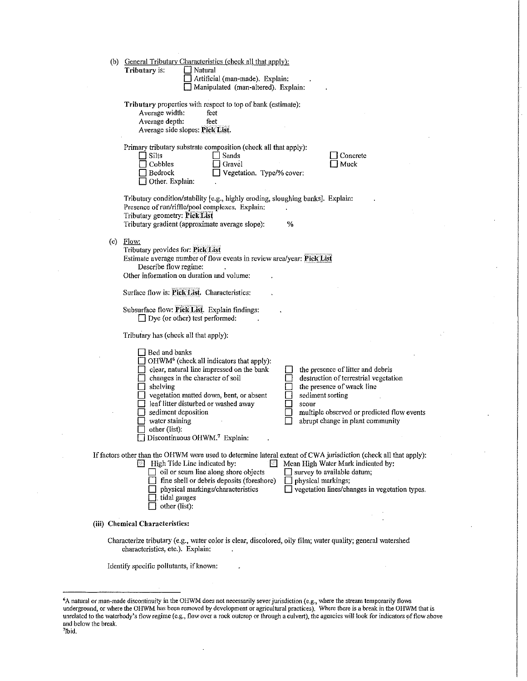|  | (b) General Tributary Characteristics (check all that apply):                                                                                       |
|--|-----------------------------------------------------------------------------------------------------------------------------------------------------|
|  | Tributary is:<br>Natural                                                                                                                            |
|  | Artificial (man-made). Explain:                                                                                                                     |
|  | Manipulated (man-altered). Explain:                                                                                                                 |
|  | Tributary properties with respect to top of bank (estimate):<br>Average width:<br>feet<br>Average depth:<br>feet<br>Average side slopes: Pick List. |
|  |                                                                                                                                                     |
|  | Primary tributary substrate composition (check all that apply):<br>$\Box$ Silts<br>Sands<br>Concrete                                                |
|  | Cobbles<br>Muck<br>Gravel                                                                                                                           |
|  | Bedrock<br>Vegetation. Type/% cover:                                                                                                                |
|  | Other. Explain:                                                                                                                                     |
|  |                                                                                                                                                     |
|  | Tributary condition/stability [e.g., highly eroding, sloughing banks]. Explain:                                                                     |
|  | Presence of run/riffle/pool complexes. Explain:                                                                                                     |
|  | Tributary geometry: Pick List<br>%<br>Tributary gradient (approximate average slope):                                                               |
|  |                                                                                                                                                     |
|  | (c) $Flow:$                                                                                                                                         |
|  | Tributary provides for: Pick List                                                                                                                   |
|  | Estimate average number of flow events in review area/year: Pick List                                                                               |
|  | Describe flow regime:                                                                                                                               |
|  | Other information on duration and volume:                                                                                                           |
|  | Surface flow is: Pick List. Characteristics:                                                                                                        |
|  | Subsurface flow: Pick List. Explain findings:<br>$\Box$ Dye (or other) test performed:                                                              |
|  | Tributary has (check all that apply):                                                                                                               |
|  | Bed and banks                                                                                                                                       |
|  | OHWM <sup>6</sup> (check all indicators that apply):                                                                                                |
|  | clear, natural line impressed on the bank<br>the presence of litter and debris                                                                      |
|  | changes in the character of soil<br>destruction of terrestrial vegetation                                                                           |
|  | the presence of wrack line<br>shelving                                                                                                              |
|  | vegetation matted down, bent, or absent<br>sediment sorting                                                                                         |
|  | leaf litter disturbed or washed away<br>scour                                                                                                       |
|  | sediment deposition<br>multiple observed or predicted flow events                                                                                   |
|  | water staining<br>abrupt change in plant community                                                                                                  |
|  | other (list):<br>Discontinuous OHWM.7 Explain:                                                                                                      |
|  |                                                                                                                                                     |
|  | If factors other than the OHWM were used to determine lateral extent of CWA jurisdiction (check all that apply):                                    |
|  | $\Box$ High Tide Line indicated by:<br>Mean High Water Mark indicated by:                                                                           |
|  | $\Box$ oil or scum line along shore objects<br>$\Box$ survey to available datum;                                                                    |
|  | fine shell or debris deposits (foreshore)<br>physical markings;<br>$\mathbf{L}$                                                                     |
|  | vegetation lines/changes in vegetation types.<br>physical markings/characteristics                                                                  |
|  | tidal gauges<br>other (list):                                                                                                                       |
|  |                                                                                                                                                     |
|  | (iii) Chemical Characteristics:                                                                                                                     |
|  | Characterize tributary (e.g., water color is clear, discolored, oily film; water quality; general watershed<br>characteristics, etc.). Explain:     |
|  |                                                                                                                                                     |
|  | Identify specific pollutants, if known:                                                                                                             |
|  |                                                                                                                                                     |
|  |                                                                                                                                                     |
|  | $\alpha$ crimer mode discontinuity in the OHWM does not necessarily especialized inicolation (e.g., where the stream temporarily flows              |

 $\ddot{\phantom{a}}$ 

 $6A$  natural or man-made discontinuity in the OHWM does not necessarily sever jurisdiction (e.g., where the stream temporarily flows underground, or where the OHWM has been removed by development or agricultural practices). Where there is a break in the OHWM that is unrelated to the waterbody's flow regime (e.g., flow over a rock outcrop or through a culvert), the agencies will look for indicators of flow above and below the break.<br><sup>7</sup>Ibid.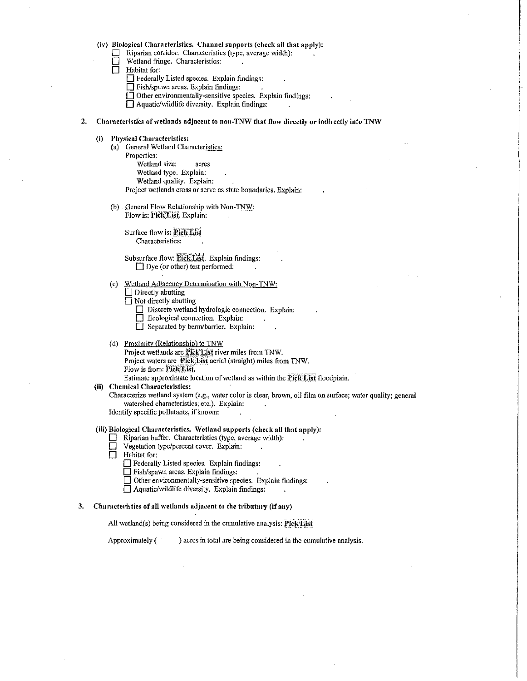# (iv) Biological Characteristics, Channel supports (check all that apply):<br> $\square$  Rinarian corridor. Characteristics (type, average width):

- Riparian corridor. Characteristics (type, average width):
- $\Box$  Wetland fringe. Characteristics:<br>  $\Box$  Habitat for:
	- Habitat for:

D Federally Listed species. Explain findings:

 $\Box$  Fish/spawn areas. Explain findings:

 $\Box$  Other environmentally-sensitive species. Explain findings:

 $\Box$  Aquatic/wildlife diversity. Explain findings:

#### 2. Characteristics of wetlands adjacent to non-TNW that flow directly or indirectly into TNW

## (i) Physical Characteristics:

- (a) General Wetland Characteristics:
	- Properties: Wetland size: acres Wetland type. Explain: Wetland quality. Explain: Project wetlands cross or serve as state boundaries. Explain:
- (b) General Flow Relationship with Non-TNW: Flow is: Pick List. Explain:

Surface flow is: Pick List Characteristics:

Subsurface flow: Pick List. Explain findings:  $\Box$  Dye (or other) test performed:

(c) Wetland Adjacency Determination with Non-TNW:

 $\Box$  Directly abutting

Not directly abutting

- Discrete wetland hydrologic connection. Explain:
- $\Box$  Ecological connection. Explain:
- $\Box$  Separated by berm/barrier. Explain:
- (d) Proximity (Relationship) to TNW Project wetlands are Pick List river miles from TNW. Project waters are Pick List aerial (straight) miles from TNW. Flow is from: Pick List. Estimate approximate location of wetland as within the Pick List floodplain.

(ii) Chemical Characteristics:

Characterize wetland system (e.g., water color is clear, brown, oil film on surface; water quality; general watershed characteristics; etc.). Explain:

Identify specific pollutants, if known:

## (iii) Biological Characteristics. 'Vetland supports (check all that apply):

- D Riparian buffer. Characteristics (type, average width);
- D Vegetation type/percent cover. Explain:
- $\Box$  Habitat for:
	- D Federally Listed species. Explain findings:
	- $\Box$  Fish/spawn areas. Explain findings:
	- $\Box$  Other environmentally-sensitive species. Explain findings:
	- $\Box$  Aquatic/wildlife diversity. Explain findings:

## 3. Characteristics of all wetlands adjacent to the tributary (if any)

All wetland(s) being considered in the cumulative analysis:  $P$ *iek* List

Approximately  $($  ) acres in total are being considered in the cumulative analysis.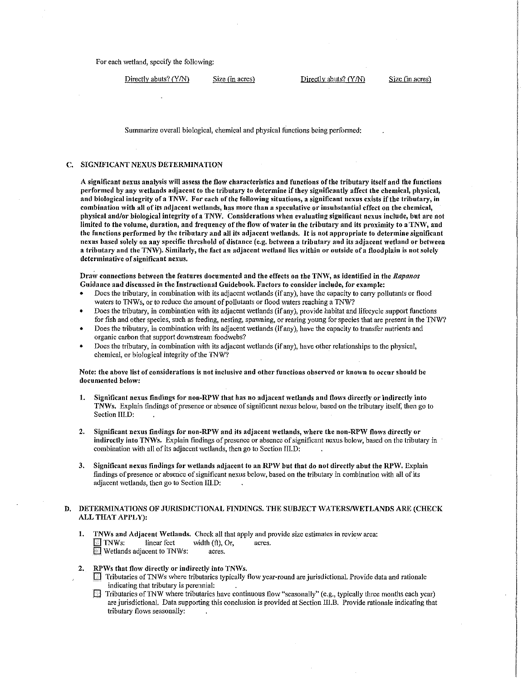For each wetland, specify the following:

Directly abuts? (Y/N) Size (in acres) Directly abuts? (Y/N) Size (in acres)

Summarize overall biological, chemical and physical functions being performed:

## C. SIGNIFICANT NEXUS DETERMINATION

A significant nexus analysis will assess the flow characteristics and functions of the tributary itself and the functions performed by any wetlands adjacent to the tributary to determine if they significantly affect the chemical, physical, and biological integrity of a TNW. For each of the following situations, a significant nexus exists if the tributary, in combination with all of its adjacent wetlands, has more than a speculative or insubstantial effect on the chemical, physical and/or biological integrity of a TNW. Considerations when evaluating significant nexus include, but are not limited to the volume, duration, and frequency of the flow of water in the tributary and its proximity to a TNW, and the functions performed by the tributary and all its adjacent wetlands. It is not appropriate to determine significant nexus based solely on any specific threshold of distance (e.g. between a tributary and its adjacent wetland or between a tributary and the TNW). Similarly, the fact an adjacent wetland lies within or outside of a floodplain is not solely determinative of significant nexus.

Draw connections between the features documented and the effects on the TNW, as identified in the *Rapanos* Guidance and discussed in the Instructional Guidebook. Factors to consider include, for example:

- Does the tributary, in combination with its adjacent wetlands (if any), have the capacity to carry pollutants or flood waters to TNWs, or to reduce the amount of pollutants or flood waters reaching a TNW?
- Does the tributary, in combination with its adjacent wetlands (if any), provide habitat and lifecycle support functions for fish and other species, such as feeding, nesting, spawning, or rearing young for species that are present in the TNW?
- Does the tributary, in combination with its adjacent wetlands (if any), have the capacity to transfer nutrients and organic carbon that support downstream foodwebs?
- Does the tributary, in combination \Vith its adjacent wetlands (if any), have other relationships to the physical, chemical, or biological integrity of the TNW?

Note: the above list of considerations is not inclusive and other functions observed or known to occur should be documented below:

- 1. Significant nexus findings for non-RPW that has no adjacent wetlands and flows directly or indirectly into TNWs. Explain findings of presence or absence of significant nexus below, based on the tributary itself, then go to Section III.D:
- 2. Significant nexus findings for non-RPW and its adjacent wetlands, where the non-RPW flows directly or indirectly into TNWs. Explain findings of presence or absence of significant nexus below, based on the tributary in combination with all of its adjacent wetlands, then go to Section  $\Pi$ .D:
- 3. Significant nexus findings for wetlands adjacent to an RPW but that do not directly abut the RPW, Explain findings of presence or absence of significant nexus below, based on the tributary in combination with all of its adjacent wetlands, then go to Section III.D:

## D. DETERMINATIONS OF JURISDICTIONAL FINDINGS. THE SUBJECT WATERS/WETLANDS ARE (CHECK ALL THAT APPLY):

- 1. TNWs and Adjacent Wetlands. Check all that apply and provide size estimates in review area:  $\Box$  TNWs: linear feet width (ft), Or, acres.<br> $\Box$  Wetlands adjacent to TNWs: acres.  $\boxdot$  Wetlands adjacent to TNWs:
- 2. RPWs that flow directly or indirectly into TNWs.
	- $\Box$  Tributaries of TNWs where tributaries typically flow year-round are jurisdictional. Provide data and rationale indicating that tributary is perennial:
	- Tributaries of TNW where tributaries have continuous flow "seasonally" (e.g., typically three months each year) are jurisdictional. Data supporting this conclusion is provided at Section lll.B. Provide rationale indicating that tributary flows seasonally: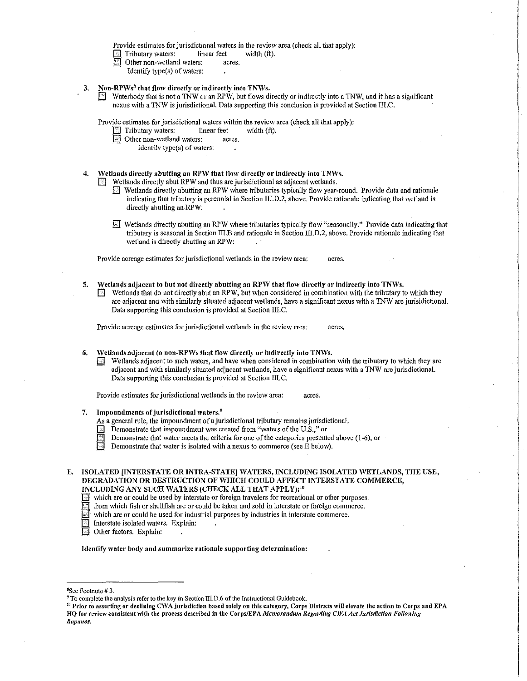Provide estimates for jurisdictional waters in the review area (check all that apply):

 $\Box$  Tributary waters: linear feet width  $(ft)$ .

- Other non-wetland waters: acres.
	- Identify type(s) of waters:
- 3. Non-RP $Ws<sup>8</sup>$  that flow directly or indirectly into TNWs.
	- $\Box$  Waterbody that is not a TNW or an RPW, but flows directly or indirectly into a TNW, and it has a significant nexus with a TNW is jurisdictional. Data supporting this conclusion is provided at Section III.C.

Provide estimates for jurisdictional waters within the review area (check all that apply):

- $\boxed{\odot}$  Tributary waters: linear feet width (ft).
- **[11]** Other non-wetland waters: acres.
	- Identify type(s) of waters:
- 4. Vetlands directly abutting an RPW that flow directly or indirectly into TNWs.

 $\Box$  Wetlands directly abut RPW and thus are jurisdictional as adjacent wetlands.

- **E** Wetlands directly abutting an RPW where tributaries typically flow year-round. Provide data and rationale indicating that tributary is perennial in Section III.D.2, above. Provide rationale indicating that wetland is directly abutting an RPW:
- $\Box$  Wetlands directly abutting an RPW where tributaries typically flow "seasonally." Provide data indicating that tributary is seasonal in Section III.B and rationale in Section III.D.2, above. Provide rationale indicating that wetland is directly abutting an RPW:

Provide acreage estimates for jurisdictional wetlands in the review area: acres.

- 5. Wetlands adjacent to but not directly abutting an RPW that flow directly or indirectly into TNWs.
	- Wetlands that do not directly abut an RPW, but when considered in combination with the tributary to which they are adjacent and with similarly situated adjacent wetlands, have a significant nexus with a TNW are jurisidictional. Data supporting this conclusion is provided at Section III.C.

Provide acreage estimates for jurisdictional wetlands in the review area: acres.

- 6. Wetlands adjacent to non-RPWs that flow directly or indirectly into TNWs.
	- Wetlands adjacent to such waters, and have when considered in combination with the tributary to which they are adjacent and with similarly situated adjacent wetlands, have a significant nexus with a TNW are jurisdictional. Data supporting this conclusion is provided at Section m.c.

Provide estimates for jurisdictional wetlands in the review area: acres.

- 7. Impoundments of jurisdictional waters.9
	- As a general rule, the impoundment of a jurisdictional tributary remains jurisdictional.
	- $\Box$  Demonstrate that impoundment was created from "waters of the U.S.," or
	- Demonstrate that water meets the criteria for one of the categories presented above (1-6), or
	- Demonstrate that water is isolated with a nexus to commerce (see E below).
- E. ISOLATED [INTERSTATE OR INTRA-STATE] WATERS, INCLUDING ISOLATED WETLANDS, THE USE, DEGRADATION OR DESTRUCTION OF WHICH COULD AFFECT INTERSTATE COMMERCE, INCLUDING ANY SUCH WATERS (CHECK ALL THAT APPLY): <sup>10</sup>
	- $\boxed{\phantom{1}}$  which are or could be used by interstate or foreign travelers for recreational or other purposes.
	- $\overline{\mathbb{R}}$  from which fish or shellfish are or could be taken and sold in interstate or foreign commerce.
	- $\Box$  which are or could be used for industrial purposes by industries in interstate commerce,
	- Interstate isolated waters. Explain:
	- **El** Other factors. Explain:

Identify water body and summarize rationale supporting determination:

<sup>10</sup> Prior to asserting or declining CWA jurisdiction based solely on this category, Corps Districts will elevate the action to Corps and EPA HQ for review consistent with the process described in the Corps/EPA Memorandum Regarding CWA Act Jurisdiction Following *Rapauos.* 

<sup>&</sup>lt;sup>8</sup>See Footnote #3.

 $9$  To complete the analysis refer to the key in Section IILD.6 of the Instructional Guidebook.